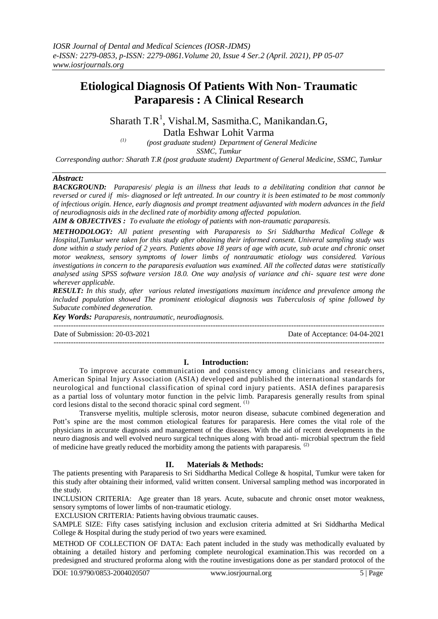# **Etiological Diagnosis Of Patients With Non- Traumatic Paraparesis : A Clinical Research**

Sharath  $T.R^1$ , Vishal.M, Sasmitha.C, Manikandan.G, Datla Eshwar Lohit Varma

*(1) (post graduate student) Department of General Medicine SSMC, Tumkur*

*Corresponding author: Sharath T.R (post graduate student) Department of General Medicine, SSMC, Tumkur*

## *Abstract:*

*BACKGROUND: Paraparesis/ plegia is an illness that leads to a debilitating condition that cannot be reversed or cured if mis- diagnosed or left untreated. In our country it is been estimated to be most commonly of infectious origin. Hence, early diagnosis and prompt treatment adjuvanted with modern advances in the field of neurodiagnosis aids in the declined rate of morbidity among affected population.* 

*AIM & OBJECTIVES : To evaluate the etiology of patients with non-traumatic paraparesis.*

*METHODOLOGY: All patient presenting with Paraparesis to Sri Siddhartha Medical College & Hospital,Tumkur were taken for this study after obtaining their informed consent. Univeral sampling study was done within a study period of 2 years. Patients above 18 years of age with acute, sub acute and chronic onset motor weakness, sensory symptoms of lower limbs of nontraumatic etiology was considered. Various investigations in concern to the paraparesis evaluation was examined. All the collected datas were statistically analysed using SPSS software version 18.0. One way analysis of variance and chi- square test were done wherever applicable.*

*RESULT: In this study, after various related investigations maximum incidence and prevalence among the included population showed The prominent etiological diagnosis was Tuberculosis of spine followed by Subacute combined degeneration.*

*Key Words: Paraparesis, nontraumatic, neurodiagnosis.*

--------------------------------------------------------------------------------------------------------------------------------------- Date of Submission: 20-03-2021 Date of Acceptance: 04-04-2021 ---------------------------------------------------------------------------------------------------------------------------------------

## **I. Introduction:**

To improve accurate communication and consistency among clinicians and researchers, American Spinal Injury Association (ASIA) developed and published the international standards for neurological and functional classification of spinal cord injury patients. ASIA defines paraparesis as a partial loss of voluntary motor function in the pelvic limb. Paraparesis generally results from spinal cord lesions distal to the second thoracic spinal cord segment.<sup>(1)</sup>

Transverse myelitis, multiple sclerosis, motor neuron disease, subacute combined degeneration and Pott's spine are the most common etiological features for paraparesis. Here comes the vital role of the physicians in accurate diagnosis and management of the diseases. With the aid of recent developments in the neuro diagnosis and well evolved neuro surgical techniques along with broad anti- microbial spectrum the field of medicine have greatly reduced the morbidity among the patients with paraparesis. (2)

## **II. Materials & Methods:**

The patients presenting with Paraparesis to Sri Siddhartha Medical College & hospital, Tumkur were taken for this study after obtaining their informed, valid written consent. Universal sampling method was incorporated in the study.

INCLUSION CRITERIA: Age greater than 18 years. Acute, subacute and chronic onset motor weakness, sensory symptoms of lower limbs of non-traumatic etiology.

EXCLUSION CRITERIA: Patients having obvious traumatic causes.

SAMPLE SIZE: Fifty cases satisfying inclusion and exclusion criteria admitted at Sri Siddhartha Medical College & Hospital during the study period of two years were examined.

METHOD OF COLLECTION OF DATA: Each patent included in the study was methodically evaluated by obtaining a detailed history and perfoming complete neurological examination.This was recorded on a predesigned and structured proforma along with the routine investigations done as per standard protocol of the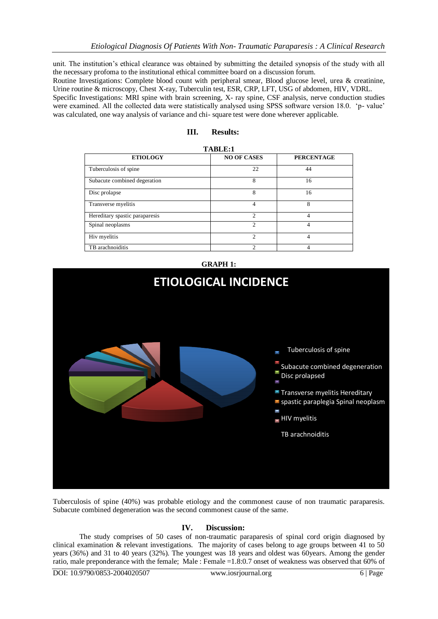unit. The institution's ethical clearance was obtained by submitting the detailed synopsis of the study with all the necessary profoma to the institutional ethical committee board on a discussion forum.

Routine Investigations: Complete blood count with peripheral smear, Blood glucose level, urea & creatinine, Urine routine & microscopy, Chest X-ray, Tuberculin test, ESR, CRP, LFT, USG of abdomen, HIV, VDRL.

Specific Investigations: MRI spine with brain screening, X- ray spine, CSF analysis, nerve conduction studies were examined. All the collected data were statistically analysed using SPSS software version 18.0. 'p- value' was calculated, one way analysis of variance and chi- square test were done wherever applicable.

| TABLE:1                        |                    |                   |
|--------------------------------|--------------------|-------------------|
| <b>ETIOLOGY</b>                | <b>NO OF CASES</b> | <b>PERCENTAGE</b> |
| Tuberculosis of spine          | 22                 | 44                |
| Subacute combined degeration   | 8                  | 16                |
| Disc prolapse                  | 8                  | 16                |
| Transverse myelitis            | 4                  | 8                 |
| Hereditary spastic paraparesis | $\mathfrak{D}$     | 4                 |
| Spinal neoplasms               | $\mathfrak{D}$     | 4                 |
| Hiv myelitis                   | $\mathfrak{D}$     | 4                 |
| TB arachnoiditis               | ↑                  | 4                 |

## **GRAPH 1:**



Tuberculosis of spine (40%) was probable etiology and the commonest cause of non traumatic paraparesis. Subacute combined degeneration was the second commonest cause of the same.

## **IV. Discussion:**

The study comprises of 50 cases of non-traumatic paraparesis of spinal cord origin diagnosed by clinical examination & relevant investigations. The majority of cases belong to age groups between 41 to 50 years (36%) and 31 to 40 years (32%). The youngest was 18 years and oldest was 60years. Among the gender ratio, male preponderance with the female; Male : Female =1.8:0.7 onset of weakness was observed that 60% of